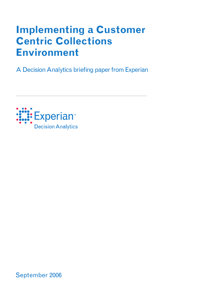# **Implementing a Customer Centric Collections Environment**

A Decision Analytics briefing paper from Experian



September 2006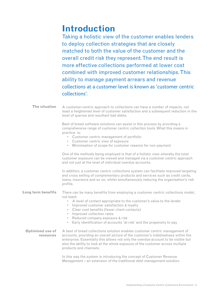## **Introduction**

Taking a holistic view of the customer enables lenders to deploy collection strategies that are closely matched to both the value of the customer and the overall credit risk they represent. The end result is more effective collections performed at lower cost combined with improved customer relationships. This ability to manage payment arrears and revenue collections at a customer level is known as 'customer centric collections'.

| The situation                        | A customer-centric approach to collections can have a number of impacts, not<br>least a heightened level of customer satisfaction and a subsequent reduction in the<br>level of queries and resultant bad debts.                                                                                                                                                                                                                |
|--------------------------------------|---------------------------------------------------------------------------------------------------------------------------------------------------------------------------------------------------------------------------------------------------------------------------------------------------------------------------------------------------------------------------------------------------------------------------------|
|                                      | Best of breed software solutions can assist in this process by providing a<br>comprehensive range of customer centric collection tools. What this means in<br>practice is:<br>• Customer centric management of portfolio<br>• Customer centric view of exposure<br>• Minimisation of scope for customer reasons for non-payment                                                                                                 |
|                                      | One of the methods being employed is that of a holistic view whereby the total<br>customer exposure can be viewed and managed via a customer centric approach<br>and not just at the level of individual overdue accounts.                                                                                                                                                                                                      |
|                                      | In addition, a customer centric collections system can facilitate improved targeting<br>and cross selling of complementary products and services such as credit cards,<br>loans, insurance and so on, whilst simultaneously reducing the organisation's risk<br>profile.                                                                                                                                                        |
| Long term benefits                   | There can be many benefits from employing a customer centric collections model,<br>not least:<br>• A level of contact appropriate to the customer's value to the lender<br>• Improved customer satisfaction & loyalty<br>• Clear cost benefits (fewer client contacts)<br>• Improved collection rates<br>• Reduced company exposure & risk<br>Early identification of accounts 'at risk' and the propensity to pay<br>$\bullet$ |
| <b>Optimised use of</b><br>resources | A best of breed collections solution enables customer centric management of<br>accounts, providing an overall picture of the customer's indebtedness within the<br>enterprise. Essentially this allows not only the overdue account to be visible but<br>also the ability to look at the whole exposure of the customer across multiple<br>products and channels.                                                               |
|                                      | In this way the system is introducing the concept of Customer Revenue<br>Management – an extension of the traditional debt management solution.                                                                                                                                                                                                                                                                                 |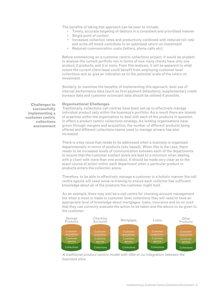The benefits of taking this approach can be seen to include:

- Timely, accurate targeting of debtors in a consistent and prioritised manner
- Single point of contact
- Increased collection rates and productivity combined with reduced roll rate and write-off levels contribute to an optimised return on investment
- Reduced communication costs (letters, phone calls etc)

Before commencing on a customer centric collections project, it would be prudent to analyse the current portfolio mix in terms of how many clients have only one product, 2 products, and 3 or more. From this analysis, it will be apparent to what extent the current client-base could benefit from employing customer level collections and so give an indication as to the potential scale of the return on investment.

Similarly, to maximise the benefits of implementing this approach, best use of internal performance data (such as first payment defaulters), supplementary credit bureaux data and customer scorecard data should be utilised if possible.

#### **Organisational Challenges**

**Challenges to successfully implementing a customer centric collections encironment**

Traditionally, collections call centres have been set-up to effectively manage individual product sets within the business's portfolio. As a result there are islands of expertise within the organisation to deal with each of the products in question. In effect a product centric collections strategy. As lending organisations have grown through mergers and acquisition, the number of different products being offered and different collections teams used to manage arrears has also increased.

There is a key issue that needs to be addressed when a business is organised departmentally in terms of products (silo based). When this is the case, there needs to be increased levels of communication between each of the departments to ensure that the customer contact levels are kept to a minimum when dealing with a client with more than one product. It should be made very clear as to the exact course of action within each department when a particular product or products enters the collection arena.

Therefore, to be able to effectively manage a customer in a holistic manner the call centre agents will need some re-training to ensure each collector has sufficient knowledge about all of the products the customer might hold.

As an example, there may well be a call centre for checking account management but when a move is made to customer level collections they will need to have an appropriate level of knowledge about mortgages, loans, insurance and so on such that they can correctly evaluate the action to be taken and the advice to be given to the customer.



A traditional product centric model with little or no integration between the business silos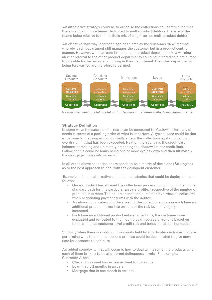An alternative strategy could be to organise the collections call centre such that there are one or more teams dedicated to multi-product debtors, the size of the teams being relative to the portfolio mix of single versus multi-product debtors.

An effective 'half way' approach can be to employ the 'customer view' method, whereby each department still manages the customer but in a product centric manner. However, when arrears first appear in product department A, a warning alert or referral to the other product departments could be initiated as a pre cursor to possible further arrears occurring in their department. The other departments being forewarned are therefore forearmed.



A customer view model model with integration between collections departments

### **Strategy Definition**

In some ways the cascade of arrears can be compared to Maslow's<sup>1</sup> hierarchy of needs in terms of a pecking order of what is important. A typical case could be that a customer's checking account initially enters the collections system due to an overdraft limit that has been exceeded. Next on the agenda is the credit card balance increasing and ultimately breaching the shadow limit or credit limit. Following this could be loans being one or more cycles down and then ultimately the mortgage moves into arrears.

In all of the above scenarios, there needs to be a matrix of decisions (Strategies) as to the best approach to deal with the delinquent customer.

Examples of some alternative collections strategies that could be deployed are as follows:

- Once a product has entered the collections process, it could continue on the standard path for this particular arrears profile, irrespective of the number of products in arrears. The collector uses the customer level view as collateral when negotiating payment terms with the debtor.
- As above but accelerating the speed of the collections process each time an additional product moves into arrears or the risk level / category is increased.
- Each time an additional product enters collections, the customer is reevaluated and re-routed to the most relevant course of actions based on factors such as customer level credit risk and behavioural scoring models.

Similarly when there are additional accounts held by a particular customer that are performing well, then the collections process could be decelerated to give more time for accounts to self-cure.

An added complexity that will occur is how to deal with each of the products when each of them is likely to be at different delinquency levels. For example: Customer A has:

- Checking account has exceeded limit for 3 months
- Loan that is 2 months in arrears
- Mortgage that is one month in arrears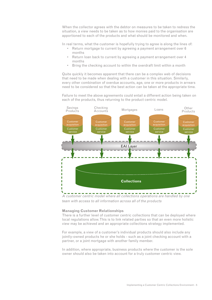When the collector agrees with the debtor on measures to be taken to redress the situation, a view needs to be taken as to how monies paid to the organisation are apportioned to each of the products and what should be monitored and when.

In real terms, what the customer is hopefully trying to agree is along the lines of:

- Return mortgage to current by agreeing a payment arrangement over 6 months
- Return loan back to current by agreeing a payment arrangement over 4 months
- Bring the checking account to within the overdraft limit within a month

Quite quickly it becomes apparent that there can be a complex web of decisions that need to be made when dealing with a customer in this situation. Similarly, every other combination of overdue accounts, age, one or more products in arrears need to be considered so that the best action can be taken at the appropriate time.

Failure to meet the above agreements could entail a different action being taken on each of the products, thus returning to the product centric model.



A customer centric model where all collections operations are handled by one team with access to all information across all of the products

#### **Managing Customer Relationships**

There is a further level of customer centric collections that can be deployed where local regulations allow. This is to link related parties so that an even more holistic view may be achieved and an appropriate collections strategy implemented.

For example, a view of a customer's individual products should also include any jointly-owned products he or she holds - such as a joint checking account with a partner, or a joint mortgage with another family member.

In addition, where appropriate, business products where the customer is the sole owner should also be taken into account for a truly customer centric view.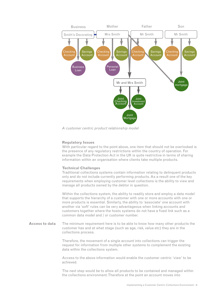

A customer centric product relationship model

### **Regulatory Issues**

With particular regard to the point above, one item that should not be overlooked is the presence of any regulatory restrictions within the country of operation. For example the Data Protection Act in the UK is quite restrictive in terms of sharing information within an organisation where clients take multiple products.

### **Technical Challenges**

Traditional collections systems contain information relating to delinquent products only and do not include currently performing products. As a result one of the key requirements when employing customer level collections is the ability to view and manage all products owned by the debtor in question.

Within the collections system, the ability to readily store and employ a data model that supports the hierarchy of a customer with one or more accounts with one or more products is essential. Similarly, the ability to 'associate' one account with another via 'soft' rules can be very advantageous when linking accounts and customers together where the hosts systems do not have a fixed link such as a common data model and / or customer number.

The minimum requirement here is to be able to know how many other products the customer has and at what stage (such as age, risk, value etc) they are in the collections process. **Access to data**

> Therefore, the movement of a single account into collections can trigger the request for information from multiple other systems to complement the existing data within the collections system.

> Access to the above information would enable the customer centric 'view' to be achieved.

The next step would be to allow all products to be contained and managed within the collections environment. Therefore at the point an account moves into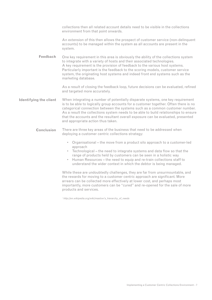collections then all related account details need to be visible in the collections environment from that point onwards.

An extension of this then allows the prospect of customer service (non-delinquent accounts) to be managed within the system as all accounts are present in the system.

One key requirement in this area is obviously the ability of the collections system to integrate with a variety of hosts and their associated technologies. A key requirement is the provision of feedback to the various host systems. Particularly important is the feedback to the scoring models, customer service system, the originating host systems and indeed front end systems such as the marketing database. **Feedback**

> As a result of closing the feedback loop, future decisions can be evaluated, refined and targeted more accurately.

When integrating a number of potentially disparate systems, one key requirement is to be able to logically group accounts for a customer together. Often there is no categorical connection between the systems such as a common customer number. As a result the collections system needs to be able to build relationships to ensure that the accounts and the resultant overall exposure can be evaluated, presented and appropriate action thus taken. **Identifying the client**

- There are three key areas of the business that need to be addressed when deploying a customer centric collections strategy: **Conclusion**
	- Organisational the move from a product silo approach to a customer-led approach
	- Technological the need to integrate systems and data flow so that the range of products held by customers can be seen in a holistic way
	- Human Resources the need to equip and re-train collections staff to understand the wider context in which the debtor is being managed.

While these are undoubtedly challenges, they are far from unsurmountable, and the rewards for moving to a customer centric approach are significant. More arrears can be collected more effectively at lower cost, and perhaps most importantly, more customers can be "cured" and re-opened for the sale of more products and services.

<sup>1</sup> http://en.wikipedia.org/wiki/maslow's\_hierarchy\_of\_needs